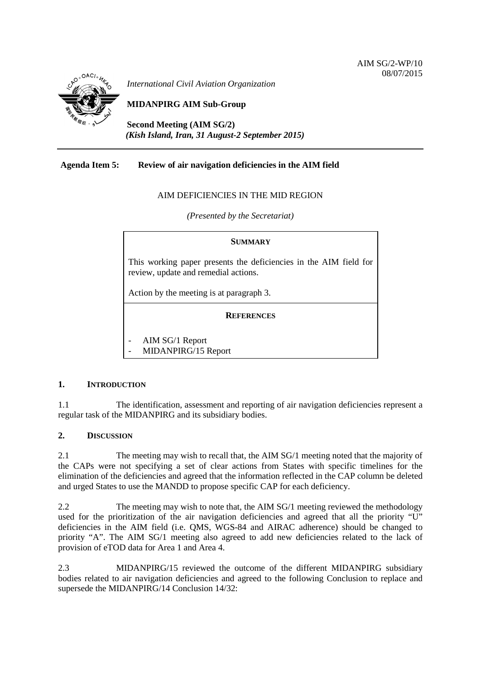

*International Civil Aviation Organization*

# **MIDANPIRG AIM Sub-Group**

**Second Meeting (AIM SG/2)** *(Kish Island, Iran, 31 August-2 September 2015)*

### **Agenda Item 5: Review of air navigation deficiencies in the AIM field**

### AIM DEFICIENCIES IN THE MID REGION

*(Presented by the Secretariat)*

#### **SUMMARY**

This working paper presents the deficiencies in the AIM field for review, update and remedial actions.

Action by the meeting is at paragraph 3.

### **REFERENCES**

- AIM SG/1 Report
- MIDANPIRG/15 Report

### **1. INTRODUCTION**

1.1 The identification, assessment and reporting of air navigation deficiencies represent a regular task of the MIDANPIRG and its subsidiary bodies.

#### **2. DISCUSSION**

2.1 The meeting may wish to recall that, the AIM SG/1 meeting noted that the majority of the CAPs were not specifying a set of clear actions from States with specific timelines for the elimination of the deficiencies and agreed that the information reflected in the CAP column be deleted and urged States to use the MANDD to propose specific CAP for each deficiency.

2.2 The meeting may wish to note that, the AIM SG/1 meeting reviewed the methodology used for the prioritization of the air navigation deficiencies and agreed that all the priority "U" deficiencies in the AIM field (i.e. QMS, WGS-84 and AIRAC adherence) should be changed to priority "A". The AIM SG/1 meeting also agreed to add new deficiencies related to the lack of provision of eTOD data for Area 1 and Area 4.

2.3 MIDANPIRG/15 reviewed the outcome of the different MIDANPIRG subsidiary bodies related to air navigation deficiencies and agreed to the following Conclusion to replace and supersede the MIDANPIRG/14 Conclusion 14/32: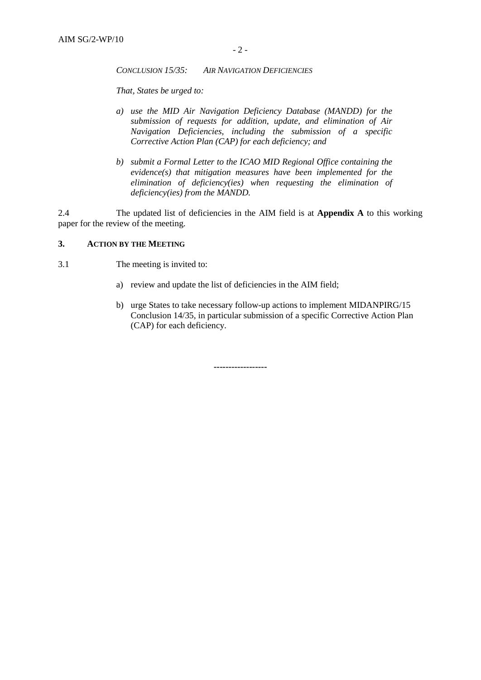*CONCLUSION 15/35: AIR NAVIGATION DEFICIENCIES* 

*That, States be urged to:*

- *a) use the MID Air Navigation Deficiency Database (MANDD) for the submission of requests for addition, update, and elimination of Air Navigation Deficiencies, including the submission of a specific Corrective Action Plan (CAP) for each deficiency; and*
- *b) submit a Formal Letter to the ICAO MID Regional Office containing the evidence(s) that mitigation measures have been implemented for the elimination of deficiency(ies) when requesting the elimination of deficiency(ies) from the MANDD.*

2.4 The updated list of deficiencies in the AIM field is at **Appendix A** to this working paper for the review of the meeting.

#### **3. ACTION BY THE MEETING**

- 3.1 The meeting is invited to:
	- a) review and update the list of deficiencies in the AIM field;
	- b) urge States to take necessary follow-up actions to implement MIDANPIRG/15 Conclusion 14/35, in particular submission of a specific Corrective Action Plan (CAP) for each deficiency.

**------------------**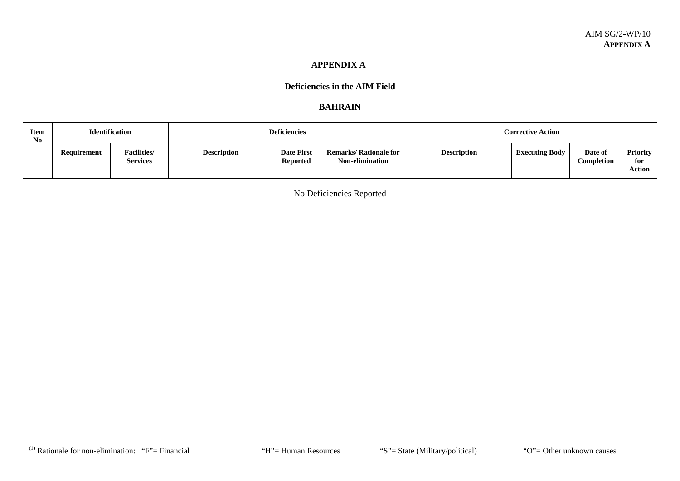#### **APPENDIX A**

## **Deficiencies in the AIM Field**

#### **BAHRAIN**

| <b>Item</b><br>No |                    | <b>Identification</b>                  |                    | <b>Deficiencies</b>                  |                                                         |                    | <b>Corrective Action</b> |                              |                           |  |  |  |
|-------------------|--------------------|----------------------------------------|--------------------|--------------------------------------|---------------------------------------------------------|--------------------|--------------------------|------------------------------|---------------------------|--|--|--|
|                   | <b>Requirement</b> | <b>Facilities</b> /<br><b>Services</b> | <b>Description</b> | <b>Date First</b><br><b>Reported</b> | <b>Remarks/ Rationale for</b><br><b>Non-elimination</b> | <b>Description</b> | <b>Executing Body</b>    | Date of<br><b>Completion</b> | Priority<br>for<br>Action |  |  |  |

No Deficiencies Reported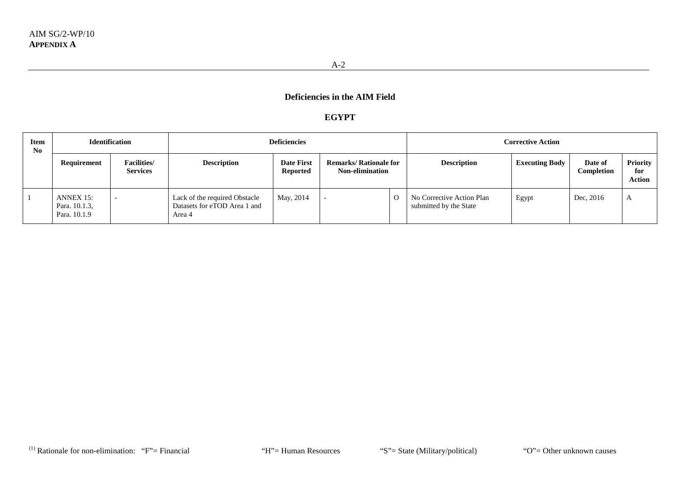### **EGYPT**

| Item<br>No |                                            | <b>Identification</b>                  |                                                                         | <b>Deficiencies</b>                  |                                                         |  | <b>Corrective Action</b>                            |                       |                       |                                         |  |
|------------|--------------------------------------------|----------------------------------------|-------------------------------------------------------------------------|--------------------------------------|---------------------------------------------------------|--|-----------------------------------------------------|-----------------------|-----------------------|-----------------------------------------|--|
|            | Requirement                                | <b>Facilities</b> /<br><b>Services</b> | <b>Description</b>                                                      | <b>Date First</b><br><b>Reported</b> | <b>Remarks/ Rationale for</b><br><b>Non-elimination</b> |  | <b>Description</b>                                  | <b>Executing Body</b> | Date of<br>Completion | <b>Priority</b><br>for<br><b>Action</b> |  |
|            | ANNEX 15:<br>Para. 10.1.3,<br>Para, 10.1.9 |                                        | Lack of the required Obstacle<br>Datasets for eTOD Area 1 and<br>Area 4 | May, 2014                            |                                                         |  | No Corrective Action Plan<br>submitted by the State | Egypt                 | Dec, 2016             | A                                       |  |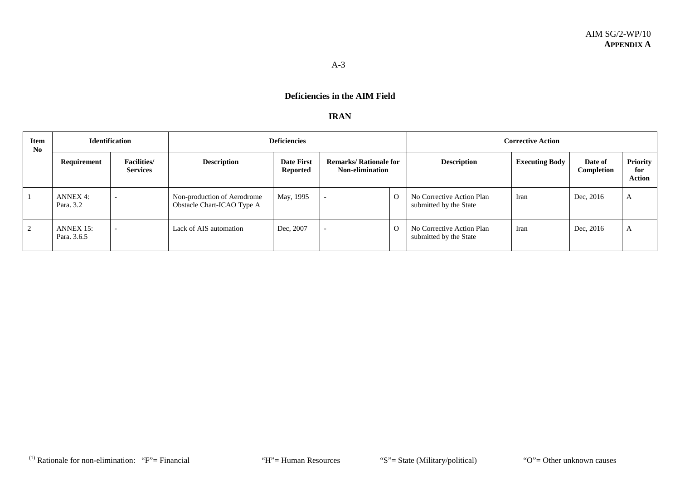#### **IRAN**

| <b>Item</b><br>No |                                 | <b>Identification</b>                 |                                                           | <b>Deficiencies</b>                  |                                                         |  | <b>Corrective Action</b>                            |                       |                              |                                         |  |  |
|-------------------|---------------------------------|---------------------------------------|-----------------------------------------------------------|--------------------------------------|---------------------------------------------------------|--|-----------------------------------------------------|-----------------------|------------------------------|-----------------------------------------|--|--|
|                   | Requirement                     | <b>Facilities/</b><br><b>Services</b> | <b>Description</b>                                        | <b>Date First</b><br><b>Reported</b> | <b>Remarks/ Rationale for</b><br><b>Non-elimination</b> |  | <b>Description</b>                                  | <b>Executing Body</b> | Date of<br><b>Completion</b> | <b>Priority</b><br>for<br><b>Action</b> |  |  |
|                   | <b>ANNEX 4:</b><br>Para, 3.2    |                                       | Non-production of Aerodrome<br>Obstacle Chart-ICAO Type A | May, 1995                            |                                                         |  | No Corrective Action Plan<br>submitted by the State | Iran                  | Dec, 2016                    | A                                       |  |  |
| 2                 | <b>ANNEX 15:</b><br>Para, 3.6.5 |                                       | Lack of AIS automation                                    | Dec, 2007                            |                                                         |  | No Corrective Action Plan<br>submitted by the State | Iran                  | Dec, 2016                    | A                                       |  |  |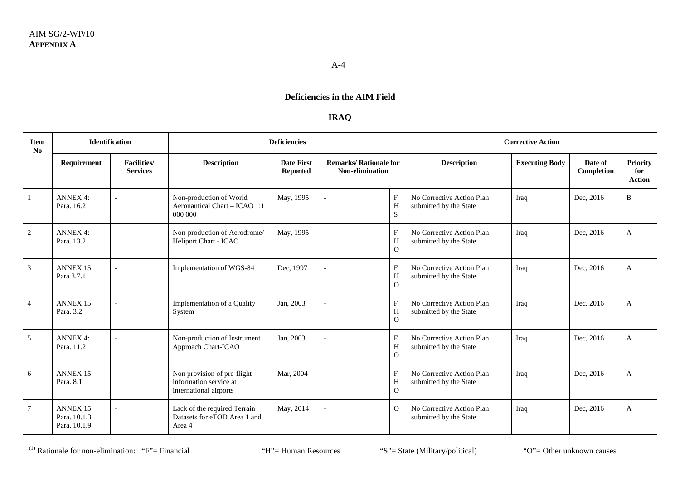### **IRAQ**

| <b>Item</b><br>N <sub>0</sub> |                                                  | Identification                        |                                                                                 | <b>Deficiencies</b>                  |                                                         |                                     |                                                     | <b>Corrective Action</b> |                       |                                         |
|-------------------------------|--------------------------------------------------|---------------------------------------|---------------------------------------------------------------------------------|--------------------------------------|---------------------------------------------------------|-------------------------------------|-----------------------------------------------------|--------------------------|-----------------------|-----------------------------------------|
|                               | Requirement                                      | <b>Facilities/</b><br><b>Services</b> | <b>Description</b>                                                              | <b>Date First</b><br><b>Reported</b> | <b>Remarks/ Rationale for</b><br><b>Non-elimination</b> |                                     | <b>Description</b>                                  | <b>Executing Body</b>    | Date of<br>Completion | <b>Priority</b><br>for<br><b>Action</b> |
| -1                            | <b>ANNEX 4:</b><br>Para, 16.2                    |                                       | Non-production of World<br>Aeronautical Chart - ICAO 1:1<br>000 000             | May, 1995                            |                                                         | $\mathbf{F}$<br>H<br>S              | No Corrective Action Plan<br>submitted by the State | Iraq                     | Dec, 2016             | B                                       |
| 2                             | <b>ANNEX 4:</b><br>Para, 13.2                    |                                       | Non-production of Aerodrome/<br>Heliport Chart - ICAO                           | May, 1995                            |                                                         | $\mathbf{F}$<br>H<br>$\Omega$       | No Corrective Action Plan<br>submitted by the State | Iraq                     | Dec, 2016             | A                                       |
| $\mathfrak{Z}$                | <b>ANNEX 15:</b><br>Para 3.7.1                   |                                       | Implementation of WGS-84                                                        | Dec, 1997                            |                                                         | $\mathbf{F}$<br>H<br>$\Omega$       | No Corrective Action Plan<br>submitted by the State | Iraq                     | Dec, 2016             | A                                       |
| 4                             | <b>ANNEX 15:</b><br>Para, 3.2                    |                                       | Implementation of a Quality<br>System                                           | Jan, 2003                            |                                                         | $\mathbf{F}$<br>H<br>$\overline{O}$ | No Corrective Action Plan<br>submitted by the State | Iraq                     | Dec, 2016             | A                                       |
| 5                             | <b>ANNEX 4:</b><br>Para, 11.2                    |                                       | Non-production of Instrument<br>Approach Chart-ICAO                             | Jan, 2003                            |                                                         | $\mathbf{F}$<br>H<br>$\Omega$       | No Corrective Action Plan<br>submitted by the State | Iraq                     | Dec, 2016             | A                                       |
| 6                             | <b>ANNEX 15:</b><br>Para. 8.1                    |                                       | Non provision of pre-flight<br>information service at<br>international airports | Mar, 2004                            |                                                         | $\mathbf{F}$<br>H<br>$\overline{O}$ | No Corrective Action Plan<br>submitted by the State | Iraq                     | Dec, 2016             | A                                       |
| 7                             | <b>ANNEX 15:</b><br>Para, 10.1.3<br>Para. 10.1.9 |                                       | Lack of the required Terrain<br>Datasets for eTOD Area 1 and<br>Area 4          | May, 2014                            |                                                         | $\Omega$                            | No Corrective Action Plan<br>submitted by the State | Iraq                     | Dec, 2016             | A                                       |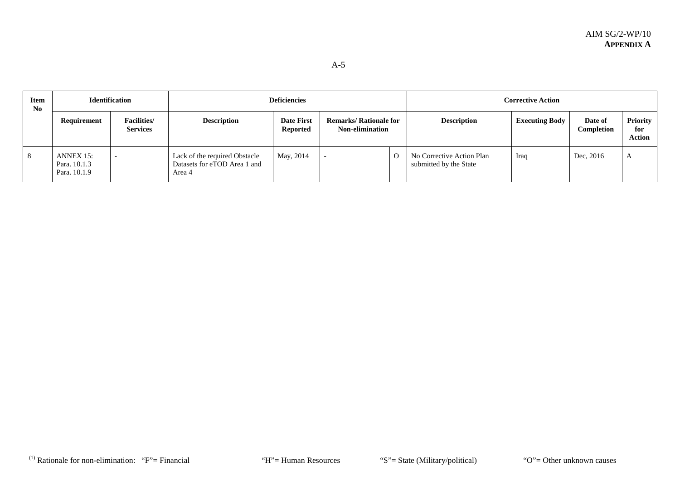| <b>Item</b><br>No | <b>Identification</b>                     |                                        |                                                                         | <b>Deficiencies</b>                  |                                                         |          | <b>Corrective Action</b>                            |                       |                       |                           |  |
|-------------------|-------------------------------------------|----------------------------------------|-------------------------------------------------------------------------|--------------------------------------|---------------------------------------------------------|----------|-----------------------------------------------------|-----------------------|-----------------------|---------------------------|--|
|                   | Requirement                               | <b>Facilities</b> /<br><b>Services</b> | <b>Description</b>                                                      | <b>Date First</b><br><b>Reported</b> | <b>Remarks/ Rationale for</b><br><b>Non-elimination</b> |          | <b>Description</b>                                  | <b>Executing Body</b> | Date of<br>Completion | Priority<br>for<br>Action |  |
| - 8               | ANNEX 15:<br>Para. 10.1.3<br>Para. 10.1.9 |                                        | Lack of the required Obstacle<br>Datasets for eTOD Area 1 and<br>Area 4 | May, 2014                            |                                                         | $\Omega$ | No Corrective Action Plan<br>submitted by the State | Iraq                  | Dec, 2016             |                           |  |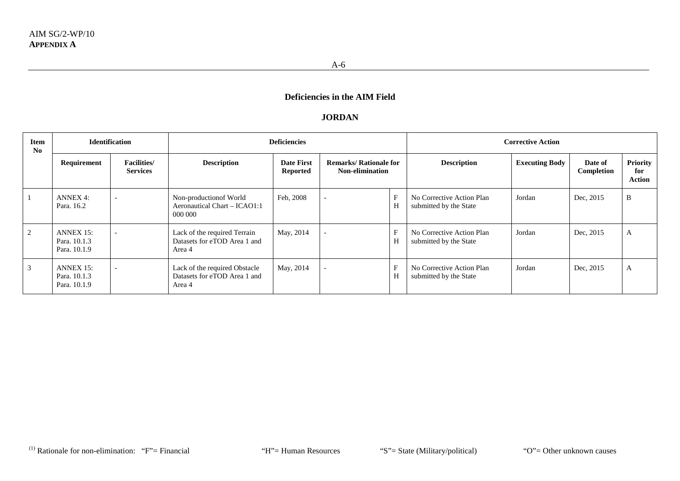#### **JORDAN**

| <b>Item</b><br>No | <b>Identification</b>                        |                                        | <b>Deficiencies</b>                                                     |                                      |                                                         |   | <b>Corrective Action</b>                            |                       |                       |                                  |  |
|-------------------|----------------------------------------------|----------------------------------------|-------------------------------------------------------------------------|--------------------------------------|---------------------------------------------------------|---|-----------------------------------------------------|-----------------------|-----------------------|----------------------------------|--|
|                   | Requirement                                  | <b>Facilities</b> /<br><b>Services</b> | <b>Description</b>                                                      | <b>Date First</b><br><b>Reported</b> | <b>Remarks/ Rationale for</b><br><b>Non-elimination</b> |   | <b>Description</b>                                  | <b>Executing Body</b> | Date of<br>Completion | Priority<br>for<br><b>Action</b> |  |
|                   | <b>ANNEX 4:</b><br>Para, 16.2                | $\overline{\phantom{0}}$               | Non-production<br>of World<br>Aeronautical Chart - ICAO1:1<br>000 000   | Feb. 2008                            | $\overline{\phantom{a}}$                                | Η | No Corrective Action Plan<br>submitted by the State | Jordan                | Dec, 2015             | B                                |  |
| 2                 | $ANNEX 15$ :<br>Para, 10.1.3<br>Para, 10.1.9 |                                        | Lack of the required Terrain<br>Datasets for eTOD Area 1 and<br>Area 4  | May, 2014                            |                                                         | Н | No Corrective Action Plan<br>submitted by the State | Jordan                | Dec, 2015             | A                                |  |
| 3                 | ANNEX 15:<br>Para, 10.1.3<br>Para, 10.1.9    |                                        | Lack of the required Obstacle<br>Datasets for eTOD Area 1 and<br>Area 4 | May, 2014                            |                                                         | Н | No Corrective Action Plan<br>submitted by the State | Jordan                | Dec, 2015             | A                                |  |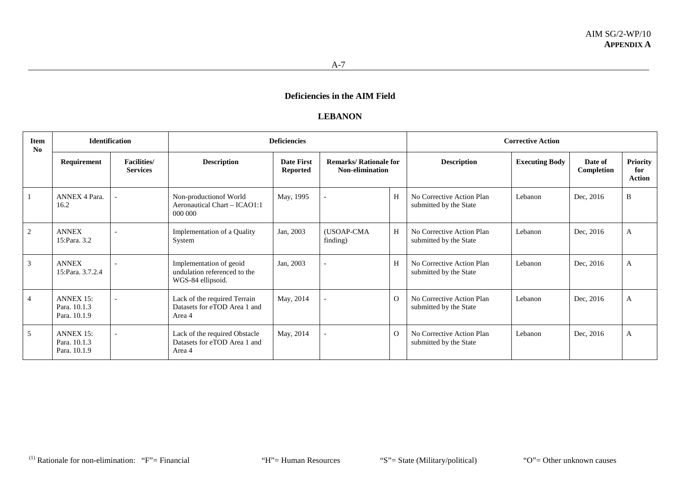#### **LEBANON**

| Item<br>No | <b>Identification</b>                            |                                       | <b>Deficiencies</b>                                                          |                                      |                                                         |          | <b>Corrective Action</b>                            |                       |                       |                                  |  |
|------------|--------------------------------------------------|---------------------------------------|------------------------------------------------------------------------------|--------------------------------------|---------------------------------------------------------|----------|-----------------------------------------------------|-----------------------|-----------------------|----------------------------------|--|
|            | Requirement                                      | <b>Facilities/</b><br><b>Services</b> | <b>Description</b>                                                           | <b>Date First</b><br><b>Reported</b> | <b>Remarks/ Rationale for</b><br><b>Non-elimination</b> |          | <b>Description</b>                                  | <b>Executing Body</b> | Date of<br>Completion | <b>Priority</b><br>for<br>Action |  |
|            | <b>ANNEX 4 Para.</b><br>16.2                     |                                       | Non-production of World<br>Aeronautical Chart – ICAO1:1<br>000 000           | May, 1995                            |                                                         | H        | No Corrective Action Plan<br>submitted by the State | Lebanon               | Dec, 2016             | B                                |  |
| 2          | <b>ANNEX</b><br>15:Para, 3.2                     |                                       | Implementation of a Quality<br>System                                        | Jan, 2003                            | (USOAP-CMA<br>finding)                                  | H        | No Corrective Action Plan<br>submitted by the State | Lebanon               | Dec, 2016             | A                                |  |
| 3          | <b>ANNEX</b><br>15: Para. 3.7.2.4                |                                       | Implementation of geoid<br>undulation referenced to the<br>WGS-84 ellipsoid. | Jan, 2003                            |                                                         | H        | No Corrective Action Plan<br>submitted by the State | Lebanon               | Dec, 2016             | A                                |  |
| 4          | <b>ANNEX 15:</b><br>Para, 10.1.3<br>Para, 10.1.9 |                                       | Lack of the required Terrain<br>Datasets for eTOD Area 1 and<br>Area 4       | May, 2014                            |                                                         | $\Omega$ | No Corrective Action Plan<br>submitted by the State | Lebanon               | Dec, 2016             | A                                |  |
| 5          | <b>ANNEX 15:</b><br>Para. 10.1.3<br>Para, 10.1.9 |                                       | Lack of the required Obstacle<br>Datasets for eTOD Area 1 and<br>Area 4      | May, 2014                            |                                                         | $\Omega$ | No Corrective Action Plan<br>submitted by the State | Lebanon               | Dec, 2016             | A                                |  |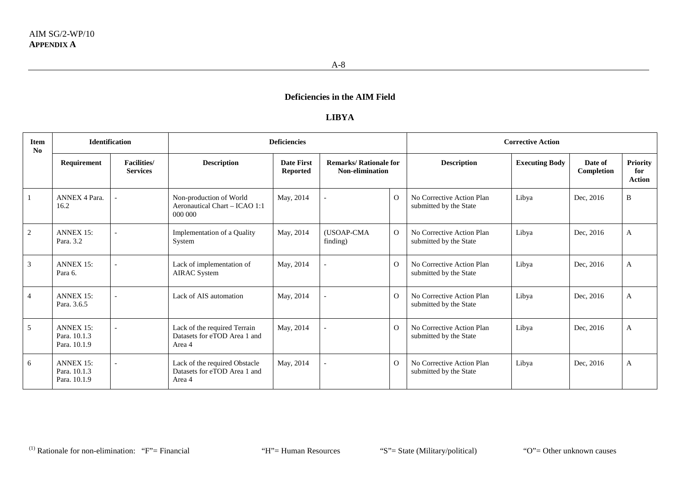## **LIBYA**

| <b>Item</b><br>No | <b>Identification</b>                            |                                        |                                                                         | <b>Deficiencies</b>           |                                                         |                |                                                     | <b>Corrective Action</b> |                       |                                  |
|-------------------|--------------------------------------------------|----------------------------------------|-------------------------------------------------------------------------|-------------------------------|---------------------------------------------------------|----------------|-----------------------------------------------------|--------------------------|-----------------------|----------------------------------|
|                   | Requirement                                      | <b>Facilities</b> /<br><b>Services</b> | <b>Description</b>                                                      | <b>Date First</b><br>Reported | <b>Remarks/ Rationale for</b><br><b>Non-elimination</b> |                | <b>Description</b>                                  | <b>Executing Body</b>    | Date of<br>Completion | Priority<br>for<br><b>Action</b> |
|                   | <b>ANNEX 4 Para.</b><br>16.2                     |                                        | Non-production of World<br>Aeronautical Chart - ICAO 1:1<br>000 000     | May, 2014                     |                                                         | $\Omega$       | No Corrective Action Plan<br>submitted by the State | Libya                    | Dec, 2016             | B                                |
| 2                 | <b>ANNEX 15:</b><br>Para, 3.2                    |                                        | Implementation of a Quality<br>System                                   | May, 2014                     | (USOAP-CMA<br>finding)                                  | $\overline{O}$ | No Corrective Action Plan<br>submitted by the State | Libya                    | Dec, 2016             | A                                |
| 3                 | <b>ANNEX 15:</b><br>Para 6.                      |                                        | Lack of implementation of<br><b>AIRAC</b> System                        | May, 2014                     |                                                         | $\Omega$       | No Corrective Action Plan<br>submitted by the State | Libya                    | Dec, 2016             | A                                |
| $\overline{4}$    | <b>ANNEX 15:</b><br>Para, 3.6.5                  |                                        | Lack of AIS automation                                                  | May, 2014                     |                                                         | $\Omega$       | No Corrective Action Plan<br>submitted by the State | Libya                    | Dec, 2016             | A                                |
| 5                 | <b>ANNEX 15:</b><br>Para, 10.1.3<br>Para. 10.1.9 |                                        | Lack of the required Terrain<br>Datasets for eTOD Area 1 and<br>Area 4  | May, 2014                     |                                                         | $\overline{O}$ | No Corrective Action Plan<br>submitted by the State | Libya                    | Dec, 2016             | A                                |
| 6                 | <b>ANNEX 15:</b><br>Para, 10.1.3<br>Para. 10.1.9 |                                        | Lack of the required Obstacle<br>Datasets for eTOD Area 1 and<br>Area 4 | May, 2014                     |                                                         | $\Omega$       | No Corrective Action Plan<br>submitted by the State | Libya                    | Dec, 2016             | A                                |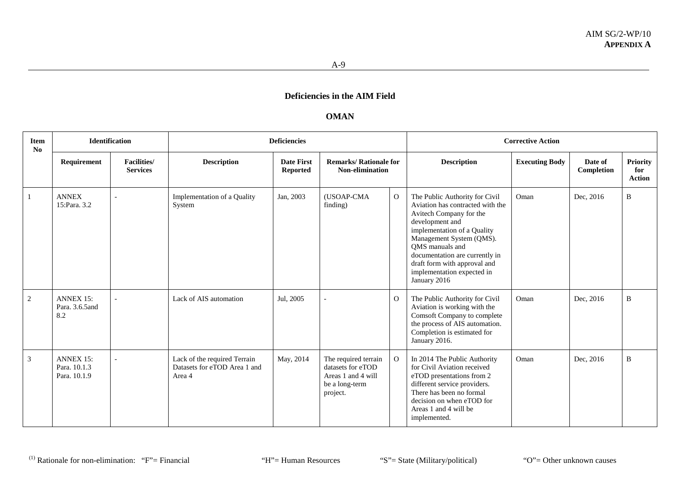### **OMAN**

| <b>Item</b><br>No |                                                  | <b>Identification</b>                  |                                                                        | <b>Deficiencies</b>                  |                                                                                               |                |                                                                                                                                                                                                                                                                                                                | <b>Corrective Action</b> |                       |                                         |
|-------------------|--------------------------------------------------|----------------------------------------|------------------------------------------------------------------------|--------------------------------------|-----------------------------------------------------------------------------------------------|----------------|----------------------------------------------------------------------------------------------------------------------------------------------------------------------------------------------------------------------------------------------------------------------------------------------------------------|--------------------------|-----------------------|-----------------------------------------|
|                   | Requirement                                      | <b>Facilities</b> /<br><b>Services</b> | <b>Description</b>                                                     | <b>Date First</b><br><b>Reported</b> | <b>Remarks/ Rationale for</b><br>Non-elimination                                              |                | <b>Description</b>                                                                                                                                                                                                                                                                                             | <b>Executing Body</b>    | Date of<br>Completion | <b>Priority</b><br>for<br><b>Action</b> |
|                   | <b>ANNEX</b><br>15:Para, 3.2                     |                                        | Implementation of a Quality<br>System                                  | Jan, 2003                            | (USOAP-CMA<br>finding)                                                                        | $\overline{O}$ | The Public Authority for Civil<br>Aviation has contracted with the<br>Avitech Company for the<br>development and<br>implementation of a Quality<br>Management System (QMS).<br>QMS manuals and<br>documentation are currently in<br>draft form with approval and<br>implementation expected in<br>January 2016 | Oman                     | Dec, 2016             | B                                       |
| 2                 | <b>ANNEX 15:</b><br>Para, 3.6.5 and<br>8.2       |                                        | Lack of AIS automation                                                 | Jul, 2005                            | $\overline{\phantom{a}}$                                                                      | $\overline{O}$ | The Public Authority for Civil<br>Aviation is working with the<br>Comsoft Company to complete<br>the process of AIS automation.<br>Completion is estimated for<br>January 2016.                                                                                                                                | Oman                     | Dec, 2016             | B                                       |
| 3                 | <b>ANNEX 15:</b><br>Para. 10.1.3<br>Para, 10.1.9 |                                        | Lack of the required Terrain<br>Datasets for eTOD Area 1 and<br>Area 4 | May, 2014                            | The required terrain<br>datasets for eTOD<br>Areas 1 and 4 will<br>be a long-term<br>project. | $\mathbf{O}$   | In 2014 The Public Authority<br>for Civil Aviation received<br>eTOD presentations from 2<br>different service providers.<br>There has been no formal<br>decision on when eTOD for<br>Areas 1 and 4 will be<br>implemented.                                                                                     | Oman                     | Dec, 2016             | $\, {\bf B}$                            |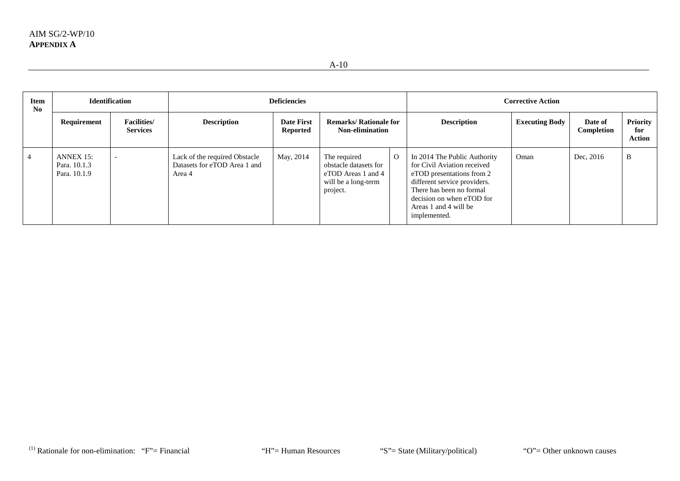| <b>Item</b><br>N <sub>0</sub> |                                           | <b>Identification</b>                 | <b>Deficiencies</b>                                                     |                                      |                                                                                                |          | <b>Corrective Action</b>                                                                                                                                                                                                   |                       |                       |                                         |
|-------------------------------|-------------------------------------------|---------------------------------------|-------------------------------------------------------------------------|--------------------------------------|------------------------------------------------------------------------------------------------|----------|----------------------------------------------------------------------------------------------------------------------------------------------------------------------------------------------------------------------------|-----------------------|-----------------------|-----------------------------------------|
|                               | Requirement                               | <b>Facilities/</b><br><b>Services</b> | <b>Description</b>                                                      | <b>Date First</b><br><b>Reported</b> | <b>Remarks/ Rationale for</b><br><b>Non-elimination</b>                                        |          | <b>Description</b>                                                                                                                                                                                                         | <b>Executing Body</b> | Date of<br>Completion | <b>Priority</b><br>for<br><b>Action</b> |
|                               | ANNEX 15:<br>Para. 10.1.3<br>Para, 10.1.9 |                                       | Lack of the required Obstacle<br>Datasets for eTOD Area 1 and<br>Area 4 | May, 2014                            | The required<br>obstacle datasets for<br>eTOD Areas 1 and 4<br>will be a long-term<br>project. | $\Omega$ | In 2014 The Public Authority<br>for Civil Aviation received<br>eTOD presentations from 2<br>different service providers.<br>There has been no formal<br>decision on when eTOD for<br>Areas 1 and 4 will be<br>implemented. | Oman                  | Dec, 2016             | B                                       |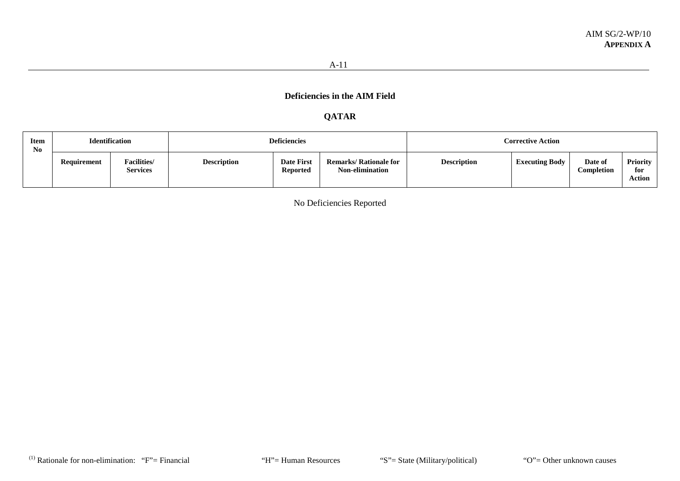# **QATAR**

| <b>Item</b><br>N <sub>0</sub> |             | <b>Identification</b>                 |                    | <b>Deficiencies</b>                  |                                                         | <b>Corrective Action</b> |                       |                       |                           |  |  |
|-------------------------------|-------------|---------------------------------------|--------------------|--------------------------------------|---------------------------------------------------------|--------------------------|-----------------------|-----------------------|---------------------------|--|--|
|                               | Requirement | <b>Facilities/</b><br><b>Services</b> | <b>Description</b> | <b>Date First</b><br><b>Reported</b> | <b>Remarks/ Rationale for</b><br><b>Non-elimination</b> | <b>Description</b>       | <b>Executing Body</b> | Date of<br>Completion | Priority<br>for<br>Action |  |  |

No Deficiencies Reported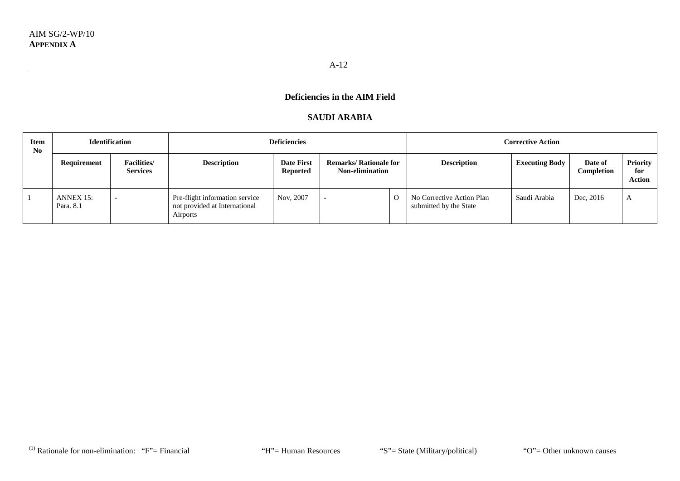### **SAUDI ARABIA**

| <b>Item</b><br>$\mathbf{N}\mathbf{0}$ | <b>Identification</b>         |                                        |                                                                             | <b>Deficiencies</b>           |                                                         |          | <b>Corrective Action</b>                            |                       |                       |                                         |  |
|---------------------------------------|-------------------------------|----------------------------------------|-----------------------------------------------------------------------------|-------------------------------|---------------------------------------------------------|----------|-----------------------------------------------------|-----------------------|-----------------------|-----------------------------------------|--|
|                                       | Requirement                   | <b>Facilities</b> /<br><b>Services</b> | <b>Description</b>                                                          | <b>Date First</b><br>Reported | <b>Remarks/ Rationale for</b><br><b>Non-elimination</b> |          | <b>Description</b>                                  | <b>Executing Body</b> | Date of<br>Completion | <b>Priority</b><br>for<br><b>Action</b> |  |
|                                       | <b>ANNEX 15:</b><br>Para, 8.1 | $\overline{\phantom{0}}$               | Pre-flight information service<br>not provided at International<br>Airports | Nov, 2007                     |                                                         | $\Omega$ | No Corrective Action Plan<br>submitted by the State | Saudi Arabia          | Dec, 2016             | A                                       |  |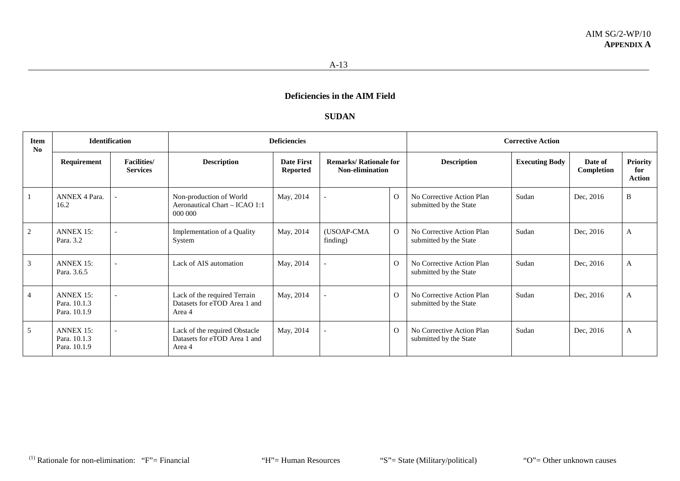## **SUDAN**

| Item<br>No | <b>Identification</b>                            |                                       |                                                                         | <b>Deficiencies</b>                  |                                                  |          |                                                     | <b>Corrective Action</b> |                       |                           |  |  |
|------------|--------------------------------------------------|---------------------------------------|-------------------------------------------------------------------------|--------------------------------------|--------------------------------------------------|----------|-----------------------------------------------------|--------------------------|-----------------------|---------------------------|--|--|
|            | Requirement                                      | <b>Facilities/</b><br><b>Services</b> | <b>Description</b>                                                      | <b>Date First</b><br><b>Reported</b> | <b>Remarks/ Rationale for</b><br>Non-elimination |          | <b>Description</b>                                  | <b>Executing Body</b>    | Date of<br>Completion | Priority<br>for<br>Action |  |  |
|            | ANNEX 4 Para.<br>16.2                            |                                       | Non-production of World<br>Aeronautical Chart - ICAO 1:1<br>000 000     | May, 2014                            |                                                  | $\Omega$ | No Corrective Action Plan<br>submitted by the State | Sudan                    | Dec, 2016             | $\, {\bf B}$              |  |  |
| 2          | <b>ANNEX 15:</b><br>Para, 3.2                    |                                       | Implementation of a Quality<br>System                                   | May, 2014                            | (USOAP-CMA<br>finding)                           | $\Omega$ | No Corrective Action Plan<br>submitted by the State | Sudan                    | Dec, 2016             | A                         |  |  |
| 3          | <b>ANNEX 15:</b><br>Para, 3.6.5                  |                                       | Lack of AIS automation                                                  | May, 2014                            |                                                  | $\Omega$ | No Corrective Action Plan<br>submitted by the State | Sudan                    | Dec, 2016             | A                         |  |  |
| 4          | <b>ANNEX 15:</b><br>Para. 10.1.3<br>Para, 10.1.9 |                                       | Lack of the required Terrain<br>Datasets for eTOD Area 1 and<br>Area 4  | May, 2014                            |                                                  | $\Omega$ | No Corrective Action Plan<br>submitted by the State | Sudan                    | Dec, 2016             | A                         |  |  |
| 5          | <b>ANNEX 15:</b><br>Para. 10.1.3<br>Para. 10.1.9 | $\overline{\phantom{a}}$              | Lack of the required Obstacle<br>Datasets for eTOD Area 1 and<br>Area 4 | May, 2014                            |                                                  | $\Omega$ | No Corrective Action Plan<br>submitted by the State | Sudan                    | Dec, 2016             | A                         |  |  |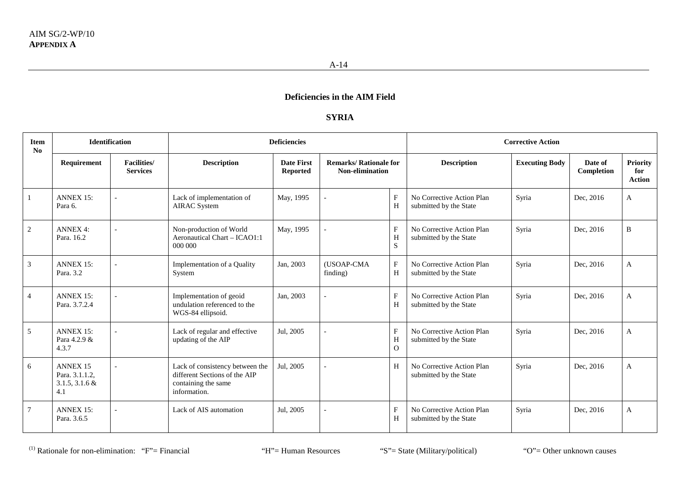## **SYRIA**

| <b>Item</b><br>No | <b>Identification</b>                                         |                                        | <b>Deficiencies</b>                                                                                     |                               |                                                  |                        | <b>Corrective Action</b>                            |                       |                       |                                  |  |
|-------------------|---------------------------------------------------------------|----------------------------------------|---------------------------------------------------------------------------------------------------------|-------------------------------|--------------------------------------------------|------------------------|-----------------------------------------------------|-----------------------|-----------------------|----------------------------------|--|
|                   | Requirement                                                   | <b>Facilities</b> /<br><b>Services</b> | <b>Description</b>                                                                                      | <b>Date First</b><br>Reported | <b>Remarks/ Rationale for</b><br>Non-elimination |                        | <b>Description</b>                                  | <b>Executing Body</b> | Date of<br>Completion | <b>Priority</b><br>for<br>Action |  |
| -1                | <b>ANNEX 15:</b><br>Para 6.                                   |                                        | Lack of implementation of<br><b>AIRAC</b> System                                                        | May, 1995                     |                                                  | F<br>H                 | No Corrective Action Plan<br>submitted by the State | Syria                 | Dec, 2016             | A                                |  |
| $\sqrt{2}$        | <b>ANNEX 4:</b><br>Para, 16.2                                 |                                        | Non-production of World<br>Aeronautical Chart - ICAO1:1<br>000 000                                      | May, 1995                     |                                                  | F<br>H<br>S            | No Corrective Action Plan<br>submitted by the State | Syria                 | Dec, 2016             | B                                |  |
| 3                 | <b>ANNEX 15:</b><br>Para, 3.2                                 |                                        | Implementation of a Quality<br>System                                                                   | Jan, 2003                     | (USOAP-CMA<br>finding)                           | $\mathbf{F}$<br>H      | No Corrective Action Plan<br>submitted by the State | Syria                 | Dec, 2016             | $\mathbf{A}$                     |  |
| $\overline{4}$    | <b>ANNEX 15:</b><br>Para. 3.7.2.4                             |                                        | Implementation of geoid<br>undulation referenced to the<br>WGS-84 ellipsoid.                            | Jan, 2003                     |                                                  | F<br>H                 | No Corrective Action Plan<br>submitted by the State | Syria                 | Dec, 2016             | $\mathbf{A}$                     |  |
| 5                 | <b>ANNEX 15:</b><br>Para 4.2.9 &<br>4.3.7                     |                                        | Lack of regular and effective<br>updating of the AIP                                                    | Jul, 2005                     |                                                  | F<br>H<br>$\mathbf{O}$ | No Corrective Action Plan<br>submitted by the State | Syria                 | Dec, 2016             | $\mathbf{A}$                     |  |
| 6                 | <b>ANNEX 15</b><br>Para. 3.1.1.2,<br>$3.1.5, 3.1.6 \&$<br>4.1 |                                        | Lack of consistency between the<br>different Sections of the AIP<br>containing the same<br>information. | Jul. 2005                     |                                                  | H                      | No Corrective Action Plan<br>submitted by the State | Syria                 | Dec, 2016             | A                                |  |
| 7                 | <b>ANNEX 15:</b><br>Para, 3.6.5                               |                                        | Lack of AIS automation                                                                                  | Jul, 2005                     |                                                  | $\mathbf{F}$<br>H      | No Corrective Action Plan<br>submitted by the State | Syria                 | Dec, 2016             | A                                |  |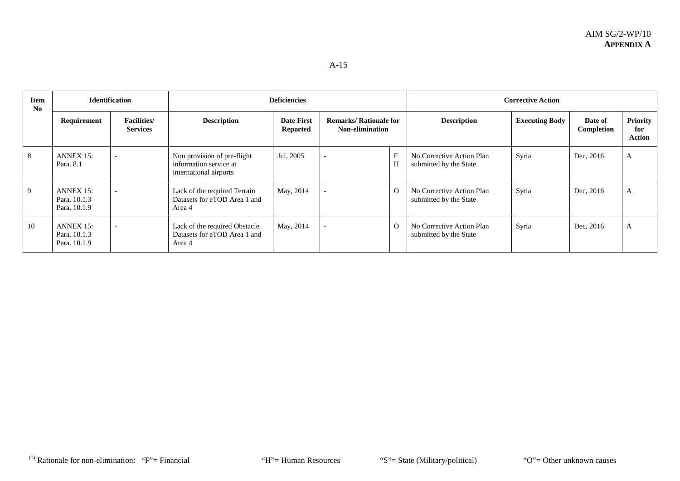| Item<br>No | <b>Identification</b>                     |                                       | <b>Deficiencies</b>                                                             |                                      |                                                         |          | <b>Corrective Action</b>                            |                       |                       |                                         |  |
|------------|-------------------------------------------|---------------------------------------|---------------------------------------------------------------------------------|--------------------------------------|---------------------------------------------------------|----------|-----------------------------------------------------|-----------------------|-----------------------|-----------------------------------------|--|
|            | Requirement                               | <b>Facilities/</b><br><b>Services</b> | <b>Description</b>                                                              | <b>Date First</b><br><b>Reported</b> | <b>Remarks/ Rationale for</b><br><b>Non-elimination</b> |          | <b>Description</b>                                  | <b>Executing Body</b> | Date of<br>Completion | <b>Priority</b><br>for<br><b>Action</b> |  |
| 8          | ANNEX 15:<br>Para, 8.1                    |                                       | Non provision of pre-flight<br>information service at<br>international airports | Jul, 2005                            |                                                         | H        | No Corrective Action Plan<br>submitted by the State | Syria                 | Dec, 2016             | A                                       |  |
| -9         | ANNEX 15:<br>Para, 10.1.3<br>Para, 10.1.9 |                                       | Lack of the required Terrain<br>Datasets for eTOD Area 1 and<br>Area 4          | May, 2014                            |                                                         | $\Omega$ | No Corrective Action Plan<br>submitted by the State | Syria                 | Dec, 2016             | A                                       |  |
| 10         | ANNEX 15:<br>Para, 10.1.3<br>Para, 10.1.9 |                                       | Lack of the required Obstacle<br>Datasets for eTOD Area 1 and<br>Area 4         | May, 2014                            |                                                         | $\Omega$ | No Corrective Action Plan<br>submitted by the State | Syria                 | Dec, 2016             | A                                       |  |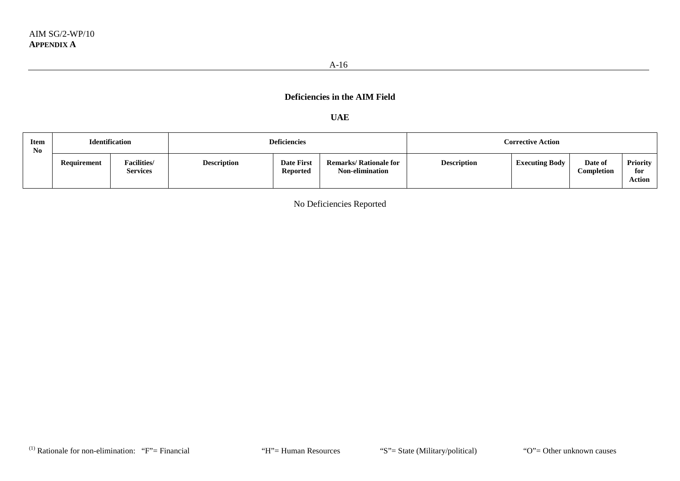### **UAE**

| <b>Item</b><br>N <sub>0</sub> | <b>Identification</b> |                                       | <b>Deficiencies</b> |                                      |                                                         | <b>Corrective Action</b> |                       |                       |                           |  |
|-------------------------------|-----------------------|---------------------------------------|---------------------|--------------------------------------|---------------------------------------------------------|--------------------------|-----------------------|-----------------------|---------------------------|--|
|                               | Requirement           | <b>Facilities/</b><br><b>Services</b> | <b>Description</b>  | <b>Date First</b><br><b>Reported</b> | <b>Remarks/ Rationale for</b><br><b>Non-elimination</b> | <b>Description</b>       | <b>Executing Body</b> | Date of<br>Completion | Priority<br>for<br>Action |  |

No Deficiencies Reported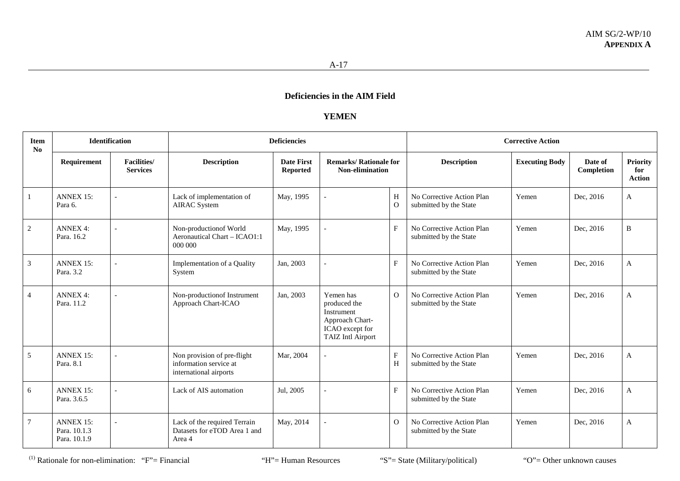### **YEMEN**

| <b>Item</b><br>N <sub>o</sub> | <b>Identification</b>                            |                                       | <b>Deficiencies</b>                                                             |                                      |                                                                                                           |                  | <b>Corrective Action</b>                            |                       |                       |                                         |  |
|-------------------------------|--------------------------------------------------|---------------------------------------|---------------------------------------------------------------------------------|--------------------------------------|-----------------------------------------------------------------------------------------------------------|------------------|-----------------------------------------------------|-----------------------|-----------------------|-----------------------------------------|--|
|                               | Requirement                                      | <b>Facilities/</b><br><b>Services</b> | <b>Description</b>                                                              | <b>Date First</b><br><b>Reported</b> | <b>Remarks/ Rationale for</b><br><b>Non-elimination</b>                                                   |                  | <b>Description</b>                                  | <b>Executing Body</b> | Date of<br>Completion | <b>Priority</b><br>for<br><b>Action</b> |  |
| -1                            | <b>ANNEX 15:</b><br>Para 6.                      |                                       | Lack of implementation of<br><b>AIRAC</b> System                                | May, 1995                            |                                                                                                           | H<br>$\Omega$    | No Corrective Action Plan<br>submitted by the State | Yemen                 | Dec, 2016             | $\mathbf{A}$                            |  |
| 2                             | <b>ANNEX 4:</b><br>Para, 16.2                    |                                       | Non-production of World<br>Aeronautical Chart - ICAO1:1<br>000 000              | May, 1995                            |                                                                                                           | $\mathbf{F}$     | No Corrective Action Plan<br>submitted by the State | Yemen                 | Dec, 2016             | $\, {\bf B}$                            |  |
| $\overline{3}$                | <b>ANNEX 15:</b><br>Para. 3.2                    |                                       | Implementation of a Quality<br>System                                           | Jan, 2003                            |                                                                                                           | F                | No Corrective Action Plan<br>submitted by the State | Yemen                 | Dec, 2016             | $\mathbf{A}$                            |  |
| $\overline{4}$                | <b>ANNEX 4:</b><br>Para, 11.2                    |                                       | Non-production of Instrument<br>Approach Chart-ICAO                             | Jan, 2003                            | Yemen has<br>produced the<br>Instrument<br>Approach Chart-<br>ICAO except for<br><b>TAIZ Intl Airport</b> | $\overline{O}$   | No Corrective Action Plan<br>submitted by the State | Yemen                 | Dec, 2016             | $\mathbf{A}$                            |  |
| 5                             | <b>ANNEX 15:</b><br>Para, 8.1                    |                                       | Non provision of pre-flight<br>information service at<br>international airports | Mar, 2004                            |                                                                                                           | $\mathbf F$<br>H | No Corrective Action Plan<br>submitted by the State | Yemen                 | Dec, 2016             | $\mathbf{A}$                            |  |
| 6                             | <b>ANNEX 15:</b><br>Para. 3.6.5                  |                                       | Lack of AIS automation                                                          | Jul, 2005                            |                                                                                                           | F                | No Corrective Action Plan<br>submitted by the State | Yemen                 | Dec, 2016             | $\mathbf{A}$                            |  |
| $7\phantom{.0}$               | <b>ANNEX 15:</b><br>Para. 10.1.3<br>Para, 10.1.9 |                                       | Lack of the required Terrain<br>Datasets for eTOD Area 1 and<br>Area 4          | May, 2014                            |                                                                                                           | $\Omega$         | No Corrective Action Plan<br>submitted by the State | Yemen                 | Dec, 2016             | $\mathbf{A}$                            |  |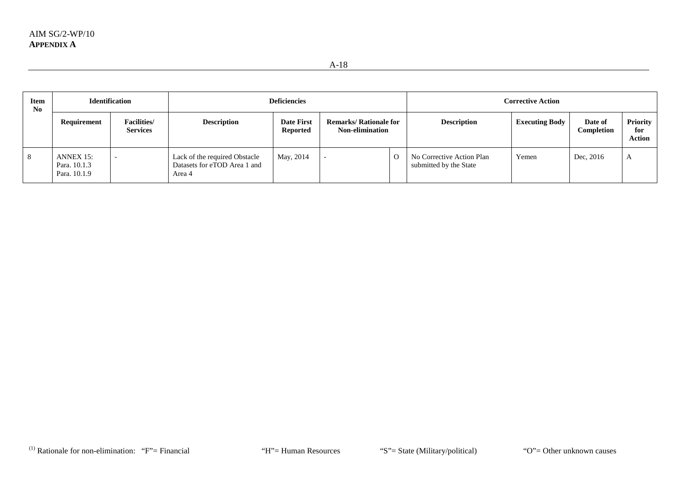| <b>Item</b><br>N <sub>0</sub> | <b>Identification</b>                     |                                       | <b>Deficiencies</b>                                                     |                                      |                                                         |          | <b>Corrective Action</b>                            |                       |                              |                           |  |
|-------------------------------|-------------------------------------------|---------------------------------------|-------------------------------------------------------------------------|--------------------------------------|---------------------------------------------------------|----------|-----------------------------------------------------|-----------------------|------------------------------|---------------------------|--|
|                               | Requirement                               | <b>Facilities/</b><br><b>Services</b> | <b>Description</b>                                                      | <b>Date First</b><br><b>Reported</b> | <b>Remarks/ Rationale for</b><br><b>Non-elimination</b> |          | <b>Description</b>                                  | <b>Executing Body</b> | Date of<br><b>Completion</b> | Priority<br>for<br>Action |  |
| 8                             | ANNEX 15:<br>Para. 10.1.3<br>Para. 10.1.9 |                                       | Lack of the required Obstacle<br>Datasets for eTOD Area 1 and<br>Area 4 | May, 2014                            |                                                         | $\Omega$ | No Corrective Action Plan<br>submitted by the State | Yemen                 | Dec, 2016                    | A                         |  |